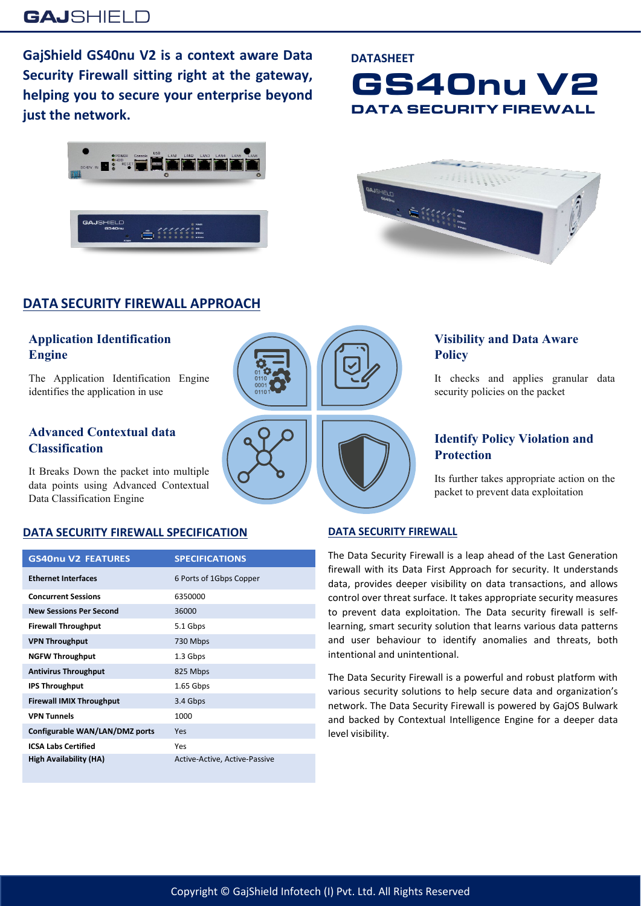**GajShield GS40nu V2 is a context aware Data Security Firewall sitting right at the gateway, helping you to secure your enterprise beyond just the network.**

# **GAJ**SHIELD

# **DATA SECURITY FIREWALL APPROACH**

### **Application Identification Engine**

The Application Identification Engine identifies the application in use

### **Advanced Contextual data Classification**

It Breaks Down the packet into multiple data points using Advanced Contextual Data Classification Engine

## **DATA SECURITY FIREWALL SPECIFICATION**

| <b>GS40nu V2 FEATURES</b>       | <b>SPECIFICATIONS</b>         |
|---------------------------------|-------------------------------|
| <b>Ethernet Interfaces</b>      | 6 Ports of 1Gbps Copper       |
| <b>Concurrent Sessions</b>      | 6350000                       |
| <b>New Sessions Per Second</b>  | 36000                         |
| <b>Firewall Throughput</b>      | 5.1 Gbps                      |
| <b>VPN Throughput</b>           | 730 Mbps                      |
| <b>NGFW Throughput</b>          | 1.3 Gbps                      |
| <b>Antivirus Throughput</b>     | 825 Mbps                      |
| <b>IPS Throughput</b>           | $1.65$ Gbps                   |
| <b>Firewall IMIX Throughput</b> | 3.4 Gbps                      |
| <b>VPN Tunnels</b>              | 1000                          |
| Configurable WAN/LAN/DMZ ports  | Yes                           |
| <b>ICSA Labs Certified</b>      | Yes                           |
| High Availability (HA)          | Active-Active, Active-Passive |

# Copyright © GajShield Infotech (I) Pvt. Ltd. All Rights Reserved

#### **DATASHEET**





# **Policy**



# **Visibility and Data Aware**

It checks and applies granular data security policies on the packet

## **Identify Policy Violation and Protection**

Its further takes appropriate action on the packet to prevent data exploitation

#### **DATA SECURITY FIREWALL**

The Data Security Firewall is a leap ahead of the Last Generation firewall with its Data First Approach for security. It understands data, provides deeper visibility on data transactions, and allows control over threat surface. It takes appropriate security measures to prevent data exploitation. The Data security firewall is selflearning, smart security solution that learns various data patterns and user behaviour to identify anomalies and threats, both intentional and unintentional.

The Data Security Firewall is a powerful and robust platform with various security solutions to help secure data and organization's network. The Data Security Firewall is powered by GajOS Bulwark and backed by Contextual Intelligence Engine for a deeper data level visibility.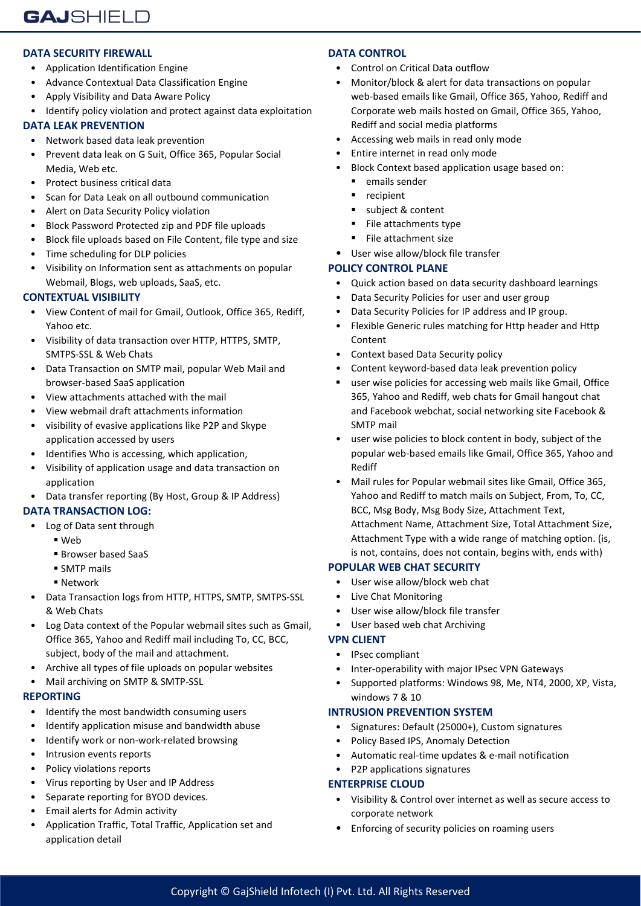#### **DATA SECURITY FIREWALL**

- Application Identification Engine
- Advance Contextual Data Classification Engine
- Apply Visibility and Data Aware Policy
- Identify policy violation and protect against data exploitation

#### **DATA LEAK PREVENTION**

- Network based data leak prevention
- Prevent data leak on G Suit, Office 365, Popular Social Media, Web etc.
- Protect business critical data
- Scan for Data Leak on all outbound communication
- Alert on Data Security Policy violation
- Block Password Protected zip and PDF file uploads
- Block file uploads based on File Content, file type and size
- Time scheduling for DLP policies
- Visibility on Information sent as attachments on popular Webmail, Blogs, web uploads, SaaS, etc.

#### **CONTEXTUAL VISIBILITY**

- View Content of mail for Gmail, Outlook, Office 365, Rediff, Yahoo etc.
- Visibility of data transaction over HTTP, HTTPS, SMTP, SMTPS-SSL & Web Chats
- Data Transaction on SMTP mail, popular Web Mail and browser-based SaaS application
- View attachments attached with the mail
- View webmail draft attachments information
- visibility of evasive applications like P2P and Skype application accessed by users
- Identifies Who is accessing, which application,
- Visibility of application usage and data transaction on application
- Data transfer reporting (By Host, Group & IP Address)

#### **DATA TRANSACTION LOG:**

- Log of Data sent through
	- Web
		- Browser based SaaS
	- **SMTP** mails
	- Network
- Data Transaction logs from HTTP, HTTPS, SMTP, SMTPS-SSL & Web Chats
- Log Data context of the Popular webmail sites such as Gmail, Office 365, Yahoo and Rediff mail including To, CC, BCC, subject, body of the mail and attachment.
- Archive all types of file uploads on popular websites
- Mail archiving on SMTP & SMTP-SSL

#### **REPORTING**

- Identify the most bandwidth consuming users
- Identify application misuse and bandwidth abuse
- Identify work or non-work-related browsing
- Intrusion events reports
- Policy violations reports
- Virus reporting by User and IP Address
- Separate reporting for BYOD devices.
- Email alerts for Admin activity
- Application Traffic, Total Traffic, Application set and application detail

#### **DATA CONTROL**

- Control on Critical Data outflow
- Monitor/block & alert for data transactions on popular web-based emails like Gmail, Office 365, Yahoo, Rediff and Corporate web mails hosted on Gmail, Office 365, Yahoo, Rediff and social media platforms
- Accessing web mails in read only mode
- Entire internet in read only mode
- Block Context based application usage based on:
	- emails sender
	- **•** recipient
	- subject & content
	- File attachments type
	- File attachment size
- User wise allow/block file transfer

#### **POLICY CONTROL PLANE**

- Quick action based on data security dashboard learnings
- Data Security Policies for user and user group
- Data Security Policies for IP address and IP group.
- Flexible Generic rules matching for Http header and Http Content
- Context based Data Security policy
- Content keyword-based data leak prevention policy
- user wise policies for accessing web mails like Gmail, Office 365, Yahoo and Rediff, web chats for Gmail hangout chat and Facebook webchat, social networking site Facebook & SMTP mail
- user wise policies to block content in body, subject of the popular web-based emails like Gmail, Office 365, Yahoo and Rediff
- Mail rules for Popular webmail sites like Gmail, Office 365, Yahoo and Rediff to match mails on Subject, From, To, CC, BCC, Msg Body, Msg Body Size, Attachment Text, Attachment Name, Attachment Size, Total Attachment Size, Attachment Type with a wide range of matching option. (is, is not, contains, does not contain, begins with, ends with)

#### **POPULAR WEB CHAT SECURITY**

- User wise allow/block web chat
- Live Chat Monitoring
- User wise allow/block file transfer
- User based web chat Archiving

#### **VPN CLIENT**

- IPsec compliant
- Inter-operability with major IPsec VPN Gateways
- Supported platforms: Windows 98, Me, NT4, 2000, XP, Vista, windows 7 & 10

#### **INTRUSION PREVENTION SYSTEM**

- Signatures: Default (25000+), Custom signatures
- Policy Based IPS, Anomaly Detection
- Automatic real-time updates & e-mail notification
- P2P applications signatures

#### **ENTERPRISE CLOUD**

- Visibility & Control over internet as well as secure access to corporate network
- Enforcing of security policies on roaming users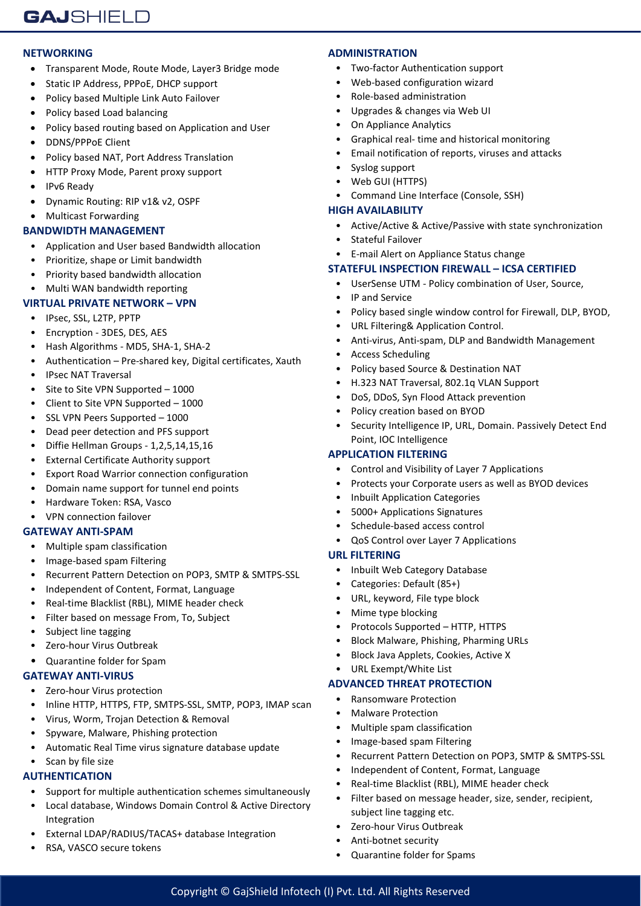#### **NETWORKING**

- Transparent Mode, Route Mode, Layer3 Bridge mode
- Static IP Address, PPPoE, DHCP support
- Policy based Multiple Link Auto Failover
- Policy based Load balancing
- Policy based routing based on Application and User
- DDNS/PPPoE Client
- Policy based NAT, Port Address Translation
- HTTP Proxy Mode, Parent proxy support
- IPv6 Ready
- Dynamic Routing: RIP v1& v2, OSPF
- Multicast Forwarding

#### **BANDWIDTH MANAGEMENT**

- Application and User based Bandwidth allocation
- Prioritize, shape or Limit bandwidth
- Priority based bandwidth allocation
- Multi WAN bandwidth reporting

#### **VIRTUAL PRIVATE NETWORK – VPN**

- IPsec, SSL, L2TP, PPTP
- Encryption 3DES, DES, AES
- Hash Algorithms MD5, SHA-1, SHA-2
- Authentication Pre-shared key, Digital certificates, Xauth
- IPsec NAT Traversal
- Site to Site VPN Supported 1000
- Client to Site VPN Supported 1000
- SSL VPN Peers Supported 1000
- Dead peer detection and PFS support
- Diffie Hellman Groups 1,2,5,14,15,16
- External Certificate Authority support
- Export Road Warrior connection configuration
- Domain name support for tunnel end points
- Hardware Token: RSA, Vasco
- VPN connection failover

#### **GATEWAY ANTI-SPAM**

- Multiple spam classification
- Image-based spam Filtering
- Recurrent Pattern Detection on POP3, SMTP & SMTPS-SSL
- Independent of Content, Format, Language
- Real-time Blacklist (RBL), MIME header check
- Filter based on message From, To, Subject
- Subject line tagging
- Zero-hour Virus Outbreak
- Quarantine folder for Spam

#### **GATEWAY ANTI-VIRUS**

- Zero-hour Virus protection
- Inline HTTP, HTTPS, FTP, SMTPS-SSL, SMTP, POP3, IMAP scan
- Virus, Worm, Trojan Detection & Removal
- Spyware, Malware, Phishing protection
- Automatic Real Time virus signature database update
- Scan by file size

#### **AUTHENTICATION**

- Support for multiple authentication schemes simultaneously
- Local database, Windows Domain Control & Active Directory Integration
- External LDAP/RADIUS/TACAS+ database Integration
- RSA, VASCO secure tokens

#### **ADMINISTRATION**

- Two-factor Authentication support
- Web-based configuration wizard
- Role-based administration
- Upgrades & changes via Web UI
- On Appliance Analytics
- Graphical real- time and historical monitoring
- Email notification of reports, viruses and attacks
- Syslog support
- Web GUI (HTTPS)
- Command Line Interface (Console, SSH)

#### **HIGH AVAILABILITY**

- Active/Active & Active/Passive with state synchronization
- Stateful Failover
- E-mail Alert on Appliance Status change

#### **STATEFUL INSPECTION FIREWALL – ICSA CERTIFIED**

- UserSense UTM Policy combination of User, Source,
- IP and Service
- Policy based single window control for Firewall, DLP, BYOD,
- URL Filtering& Application Control.
- Anti-virus, Anti-spam, DLP and Bandwidth Management
- Access Scheduling
- Policy based Source & Destination NAT
- H.323 NAT Traversal, 802.1q VLAN Support
- DoS, DDoS, Syn Flood Attack prevention
- Policy creation based on BYOD
- Security Intelligence IP, URL, Domain. Passively Detect End Point, IOC Intelligence

#### **APPLICATION FILTERING**

- Control and Visibility of Layer 7 Applications
- Protects your Corporate users as well as BYOD devices
- Inbuilt Application Categories
- 5000+ Applications Signatures
- Schedule-based access control
- QoS Control over Layer 7 Applications

#### **URL FILTERING**

Copyright © GajShield Infotech (I) Pvt. Ltd. All Rights Reserved

- Inbuilt Web Category Database
- Categories: Default (85+)
- URL, keyword, File type block
- Mime type blocking
- Protocols Supported HTTP, HTTPS
- Block Malware, Phishing, Pharming URLs

• Recurrent Pattern Detection on POP3, SMTP & SMTPS-SSL

• Independent of Content, Format, Language • Real-time Blacklist (RBL), MIME header check • Filter based on message header, size, sender, recipient,

- Block Java Applets, Cookies, Active X
- URL Exempt/White List

• Malware Protection • Multiple spam classification • Image-based spam Filtering

> subject line tagging etc. Zero-hour Virus Outbreak • Anti-botnet security

• Quarantine folder for Spams

#### **ADVANCED THREAT PROTECTION** • Ransomware Protection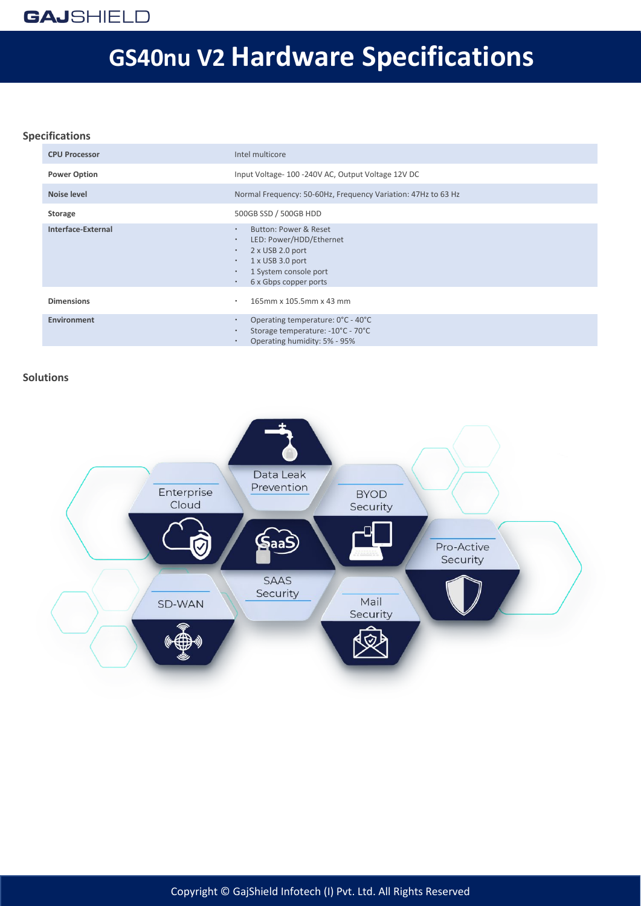# **GS40nu V2 Hardware Specifications**

#### **Specifications**

| <b>CPU Processor</b> | Intel multicore                                                                                                                                                                                                                 |
|----------------------|---------------------------------------------------------------------------------------------------------------------------------------------------------------------------------------------------------------------------------|
| <b>Power Option</b>  | Input Voltage-100 -240V AC, Output Voltage 12V DC                                                                                                                                                                               |
| Noise level          | Normal Frequency: 50-60Hz, Frequency Variation: 47Hz to 63 Hz                                                                                                                                                                   |
| Storage              | 500GB SSD / 500GB HDD                                                                                                                                                                                                           |
| Interface-External   | Button: Power & Reset<br>$\bullet$<br>LED: Power/HDD/Ethernet<br>$\bullet$<br>2 x USB 2.0 port<br>$\bullet$<br>$1 \times$ USB 3.0 port<br>$\bullet$<br>1 System console port<br>$\bullet$<br>6 x Gbps copper ports<br>$\bullet$ |
| <b>Dimensions</b>    | 165mm x 105.5mm x 43 mm<br>٠                                                                                                                                                                                                    |
| Environment          | Operating temperature: 0°C - 40°C<br>$\bullet$<br>Storage temperature: -10°C - 70°C<br>$\bullet$<br>Operating humidity: 5% - 95%<br>$\bullet$                                                                                   |

#### **Solutions**